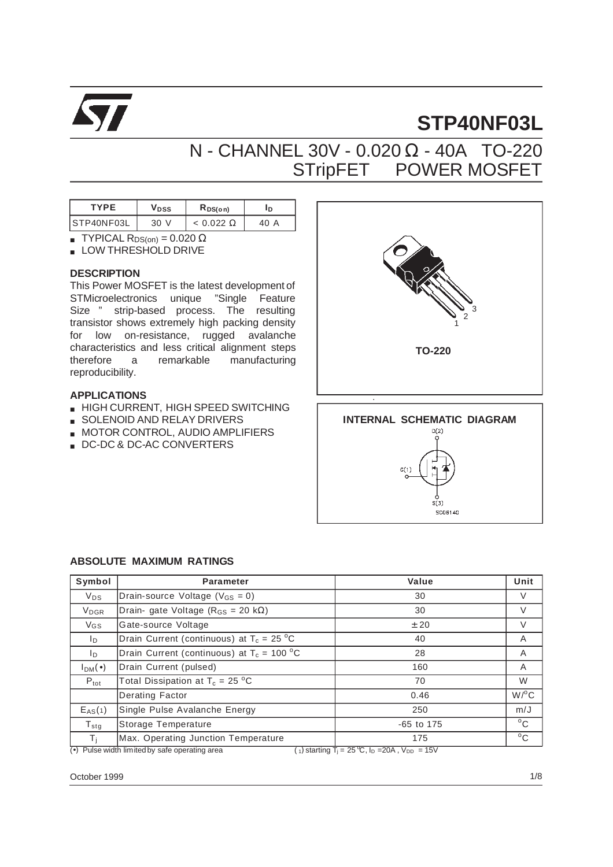

# **STP40NF03L**

## N - CHANNEL 30V - 0.020 Ω - 40A TO-220 STripFET<sup>TM</sup> POWER MOSFET

| <b>TYPF</b> | <b>V</b> DSS | $R_{DS(on)}$     | ΙD      |
|-------------|--------------|------------------|---------|
| STP40NF03L  | 30           | $< 0.022 \Omega$ | 40<br>А |

- **TYPICAL R**DS(on) =  $0.020 \Omega$
- LOW THRESHOLD DRIVE

#### **DESCRIPTION**

This Power MOSFET is the latest development of STMicroelectronics unique "Single Feature Size<sup>TM"</sup> strip-based process. The resulting transistor shows extremely high packing density for low on-resistance, rugged avalanche characteristics and less critical alignment steps therefore a remarkable manufacturing reproducibility.

#### **APPLICATIONS**

- HIGH CURRENT, HIGH SPEED SWITCHING
- SOLENOID AND RELAY DRIVERS
- MOTOR CONTROL, AUDIO AMPLIFIERS
- DC-DC & DC-AC CONVERTERS



 $\bar{\mathbf{s}}(\bar{\mathbf{3}})$ SC06140

#### **ABSOLUTE MAXIMUM RATINGS**

| Symbol            | <b>Parameter</b>                                 | <b>Value</b> | Unit               |
|-------------------|--------------------------------------------------|--------------|--------------------|
| $V_{DS}$          | Drain-source Voltage ( $V_{GS} = 0$ )            | 30           | V                  |
| V <sub>DGR</sub>  | Drain- gate Voltage ( $R_{GS}$ = 20 k $\Omega$ ) | 30           | $\vee$             |
| V <sub>GS</sub>   | Gate-source Voltage                              | ± 20         | V                  |
| I <sub>D</sub>    | Drain Current (continuous) at $T_c = 25 °C$      | 40           | A                  |
| ID.               | Drain Current (continuous) at $T_c = 100 °C$     | 28           | A                  |
| $I_{DM}(\bullet)$ | Drain Current (pulsed)                           | 160          | A                  |
| $P_{\text{tot}}$  | Total Dissipation at $T_c = 25 °C$               | 70           | W                  |
|                   | Derating Factor                                  | 0.46         | $W$ / $^{\circ}$ C |
| $E_{AS}(1)$       | Single Pulse Avalanche Energy                    | 250          | m/J                |
| $T_{\text{stg}}$  | Storage Temperature                              | $-65$ to 175 | $^{\circ}$ C       |
| $T_{\rm i}$       | Max. Operating Junction Temperature              | 175          | $^{\circ}$ C       |

 $\overline{(*)}$  Pulse width limited by safe operating area

(1) starting  $T_i = 25 \degree C$ ,  $I_D = 20A$ ,  $V_{DD} = 15V$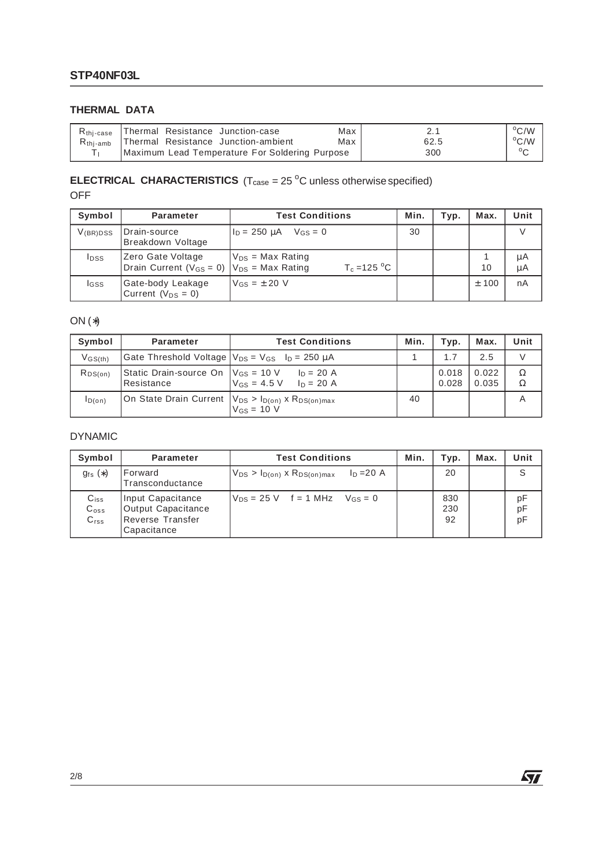### **THERMAL DATA**

| R <sub>thi-case</sub>   Thermal Resistance Junction-case   | Max |      | $\rm ^{o}C/W$ |
|------------------------------------------------------------|-----|------|---------------|
| R <sub>thj-amb</sub>   Thermal Resistance Junction-ambient | Max | 62.5 | $\rm ^{o}C/W$ |
| Maximum Lead Temperature For Soldering Purpose             |     | 300  | $\circ$       |

#### **ELECTRICAL CHARACTERISTICS**  $(T_{\text{case}} = 25 \text{ °C}$  unless otherwise specified) OFF

| Symbol        | Parameter                                                                 | <b>Test Conditions</b>                  | Min. | Typ. | Max.    | Unit     |
|---------------|---------------------------------------------------------------------------|-----------------------------------------|------|------|---------|----------|
| $V_{(BR)DSS}$ | Drain-source<br>Breakdown Voltage                                         | $I_D = 250 \mu A$ $V_{GS} = 0$          | 30   |      |         |          |
| <b>I</b> pss  | Zero Gate Voltage<br>Drain Current ( $V_{GS} = 0$ ) $V_{DS} = Max Rating$ | $V_{DS}$ = Max Rating<br>$T_c = 125 °C$ |      |      | 10      | μA<br>μA |
| <b>I</b> GSS  | Gate-body Leakage<br>Current ( $V_{DS} = 0$ )                             | $V_{GS} = \pm 20$ V                     |      |      | $±$ 100 | nA       |

#### ON (∗)

| Symbol                             | Parameter                                                   | <b>Test Conditions</b>                                                                 | Min. | Typ.           | Max.           | Unit   |
|------------------------------------|-------------------------------------------------------------|----------------------------------------------------------------------------------------|------|----------------|----------------|--------|
| $V$ <sub>GS<math>(th)</math></sub> | Gate Threshold Voltage $ V_{DS} = V_{GS}$ $I_D = 250 \mu A$ |                                                                                        |      | 1.7            | 2.5            |        |
| RDS(on)                            | Resistance                                                  | Static Drain-source On $ V_{GS} = 10 V$ $ I_D = 20 A$<br>$V_{GS} = 4.5 V$ $I_D = 20 A$ |      | 0.018<br>0.028 | 0.022<br>0.035 | Ω<br>Ω |
| ID(on)                             |                                                             | On State Drain Current $ V_{DS} > I_{D(0n)} \times R_{DS(0n)max}$<br>$V_{GS}$ = 10 V   | 40   |                |                |        |

#### DYNAMIC

| Symbol                                  | Parameter                                                                  | <b>Test Conditions</b>                                    | Min. | Typ.             | Max. | Unit           |
|-----------------------------------------|----------------------------------------------------------------------------|-----------------------------------------------------------|------|------------------|------|----------------|
| $g_{fs}(*)$                             | Forward<br>Transconductance                                                | $I_D = 20 A$<br>$V_{DS} > I_{D(on)} \times R_{DS(on)max}$ |      | 20               |      | S              |
| $C_{iss}$<br>$C_{\rm oss}$<br>$C_{rss}$ | Input Capacitance<br>Output Capacitance<br>Reverse Transfer<br>Capacitance | $V_{DS} = 25 V$ f = 1 MHz $V_{GS} = 0$                    |      | 830<br>230<br>92 |      | рF<br>pF<br>pF |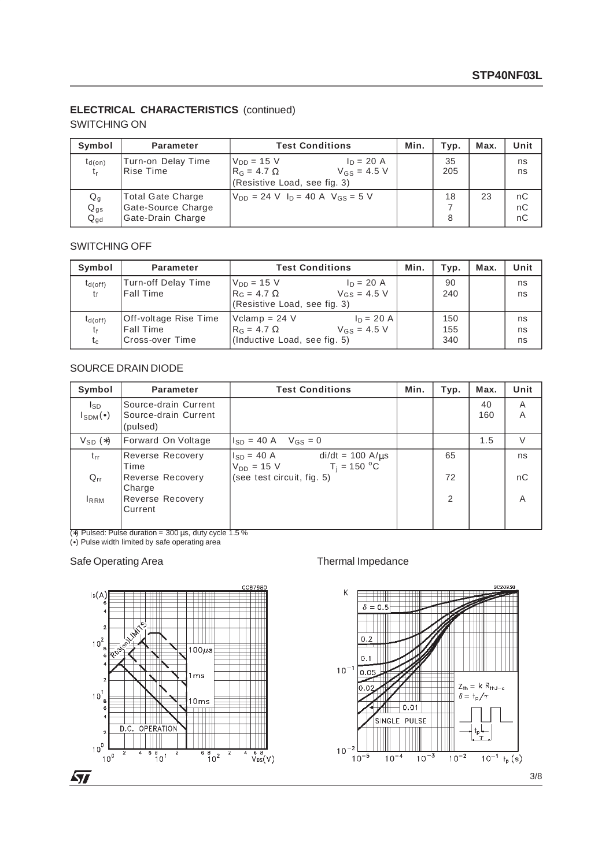### **ELECTRICAL CHARACTERISTICS** (continued)

#### SWITCHING ON

| Symbol                                            | <b>Parameter</b>                                             | <b>Test Conditions</b>                                                                               | Min. | Typ.      | Max. | Unit           |
|---------------------------------------------------|--------------------------------------------------------------|------------------------------------------------------------------------------------------------------|------|-----------|------|----------------|
| $t_{d(on)}$<br>$t_{r}$                            | Turn-on Delay Time<br><b>Rise Time</b>                       | IVnn = 15 V<br>$ln = 20 A$<br>$R_G = 4.7 \Omega$<br>$V_{GS} = 4.5 V$<br>(Resistive Load, see fig. 3) |      | 35<br>205 |      | ns<br>ns       |
| $\mathsf{Q}_{\mathsf{g}}$<br>$Q_{gs}$<br>$Q_{gd}$ | Total Gate Charge<br>Gate-Source Charge<br>Gate-Drain Charge | $V_{DD} = 24 V I_D = 40 A V_{GS} = 5 V$                                                              |      | 18<br>8   | 23   | nC<br>nC<br>nC |

#### SWITCHING OFF

| Symbol       | <b>Parameter</b>      | <b>Test Conditions</b>                          | Min. | Typ. | Max. | Unit |
|--------------|-----------------------|-------------------------------------------------|------|------|------|------|
| $t_{d(off)}$ | Turn-off Delay Time   | $V_{DD} = 15 V$<br>$I_D = 20 A$                 |      | 90   |      | ns   |
| tŧ           | <b>Fall Time</b>      | $V$ <sub>GS</sub> = 4.5 V<br>$R_G = 4.7 \Omega$ |      | 240  |      | ns   |
|              |                       | (Resistive Load, see fig. 3)                    |      |      |      |      |
| $t_{d(off)}$ | Off-voltage Rise Time | $Vclamp = 24 V$<br>$I_D = 20 A$                 |      | 150  |      | ns   |
| tғ           | <b>Fall Time</b>      | $R_G = 4.7 \Omega$<br>$V_{GS} = 4.5 V$          |      | 155  |      | ns   |
| $t_c$        | Cross-over Time       | (Inductive Load, see fig. 5)                    |      | 340  |      | ns   |

#### SOURCE DRAIN DIODE

| Symbol                    | Parameter                                                | <b>Test Conditions</b>                                                        | Min. | Typ.           | Max.      | Unit           |
|---------------------------|----------------------------------------------------------|-------------------------------------------------------------------------------|------|----------------|-----------|----------------|
| Isp<br>$I_{SDM}(\bullet)$ | Source-drain Current<br>Source-drain Current<br>(pulsed) |                                                                               |      |                | 40<br>160 | A<br>A         |
| $V_{SD}$ $(*)$            | Forward On Voltage                                       | $V_{GS} = 0$<br>$I_{SD} = 40 A$                                               |      |                | 1.5       | $\vee$         |
| $t_{rr}$                  | Reverse Recovery<br>Time                                 | $di/dt = 100 A/\mu s$<br>$I_{SD} = 40 A$<br>$T_i = 150 °C$<br>$V_{DD} = 15 V$ |      | 65             |           | ns             |
| $Q_{rr}$                  | Reverse Recovery<br>Charge                               | (see test circuit, fig. 5)                                                    |      | 72             |           | nC             |
| <b>IRRM</b>               | Reverse Recovery<br>Current                              |                                                                               |      | $\overline{2}$ |           | $\overline{A}$ |

(∗) Pulsed: Pulse duration = 300 µs, duty cycle 1.5 %

(•) Pulse width limited by safe operating area

#### Safe Operating Area Thermal Impedance





3/8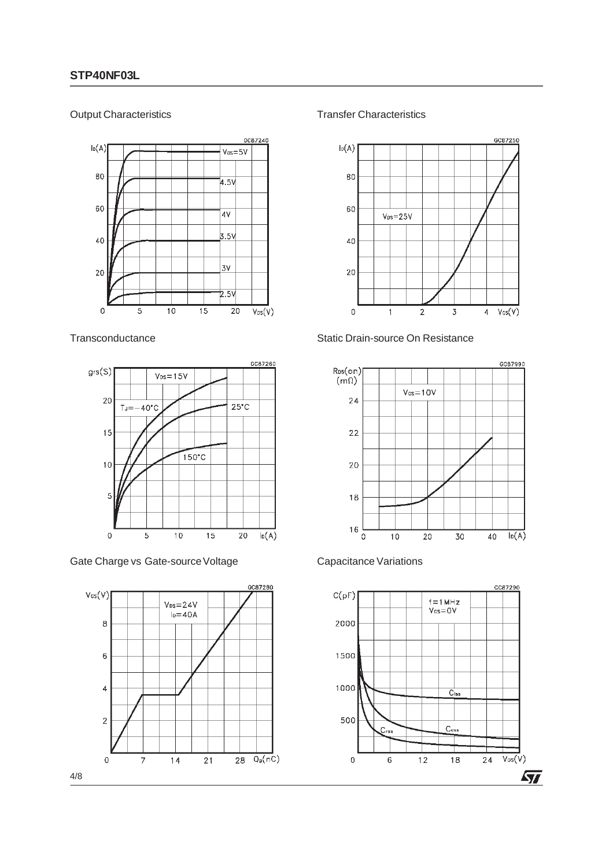#### Output Characteristics



#### **Transconductance**



Gate Charge vs Gate-source Voltage



Transfer Characteristics









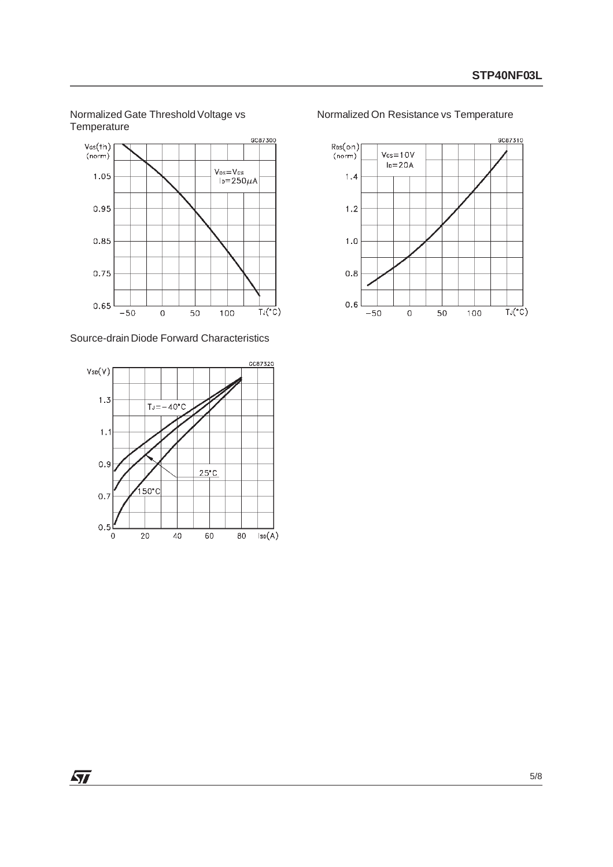#### Normalized Gate Threshold Voltage vs **Temperature**



Source-drain Diode Forward Characteristics



Normalized On Resistance vs Temperature



 $\sqrt{27}$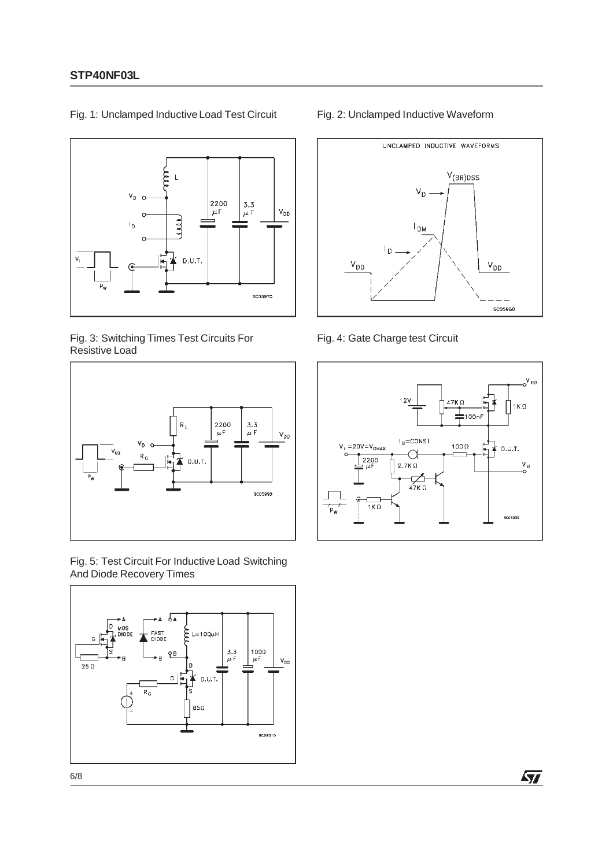

Fig. 1: Unclamped Inductive Load Test Circuit

#### Fig. 3: Switching Times Test Circuits For Resistive Load



Fig. 5: Test Circuit For Inductive Load Switching And Diode Recovery Times



#### Fig. 2: Unclamped Inductive Waveform



Fig. 4: Gate Charge test Circuit



牙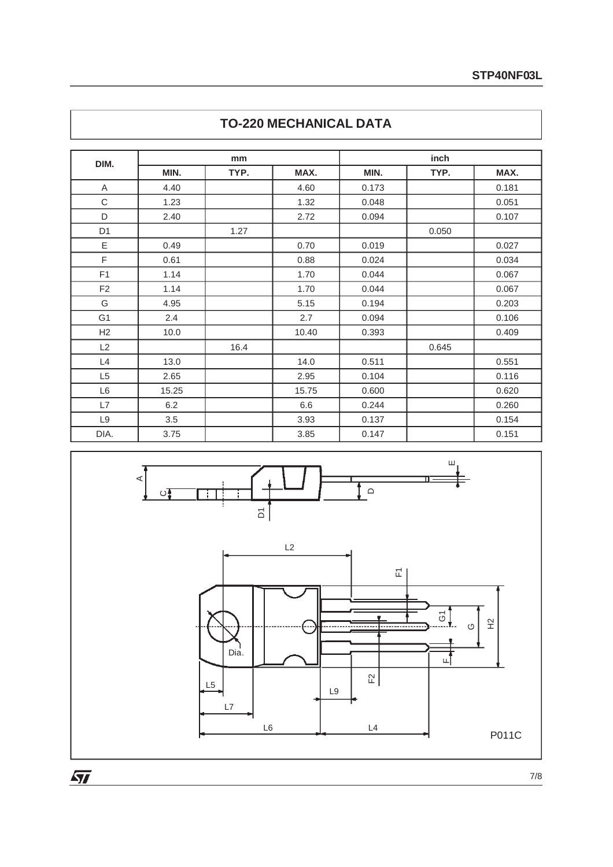|                |       | mm   |       |       | inch  |       |
|----------------|-------|------|-------|-------|-------|-------|
| DIM.           | MIN.  | TYP. | MAX.  | MIN.  | TYP.  | MAX.  |
| A              | 4.40  |      | 4.60  | 0.173 |       | 0.181 |
| $\mathsf C$    | 1.23  |      | 1.32  | 0.048 |       | 0.051 |
| D              | 2.40  |      | 2.72  | 0.094 |       | 0.107 |
| D <sub>1</sub> |       | 1.27 |       |       | 0.050 |       |
| Ε              | 0.49  |      | 0.70  | 0.019 |       | 0.027 |
| F              | 0.61  |      | 0.88  | 0.024 |       | 0.034 |
| F1             | 1.14  |      | 1.70  | 0.044 |       | 0.067 |
| F <sub>2</sub> | 1.14  |      | 1.70  | 0.044 |       | 0.067 |
| G              | 4.95  |      | 5.15  | 0.194 |       | 0.203 |
| G <sub>1</sub> | 2.4   |      | 2.7   | 0.094 |       | 0.106 |
| H2             | 10.0  |      | 10.40 | 0.393 |       | 0.409 |
| L2             |       | 16.4 |       |       | 0.645 |       |
| L4             | 13.0  |      | 14.0  | 0.511 |       | 0.551 |
| L <sub>5</sub> | 2.65  |      | 2.95  | 0.104 |       | 0.116 |
| L <sub>6</sub> | 15.25 |      | 15.75 | 0.600 |       | 0.620 |
| L7             | 6.2   |      | 6.6   | 0.244 |       | 0.260 |
| L <sub>9</sub> | 3.5   |      | 3.93  | 0.137 |       | 0.154 |
| DIA.           | 3.75  |      | 3.85  | 0.147 |       | 0.151 |





 $\overline{\mathbf{M}}$